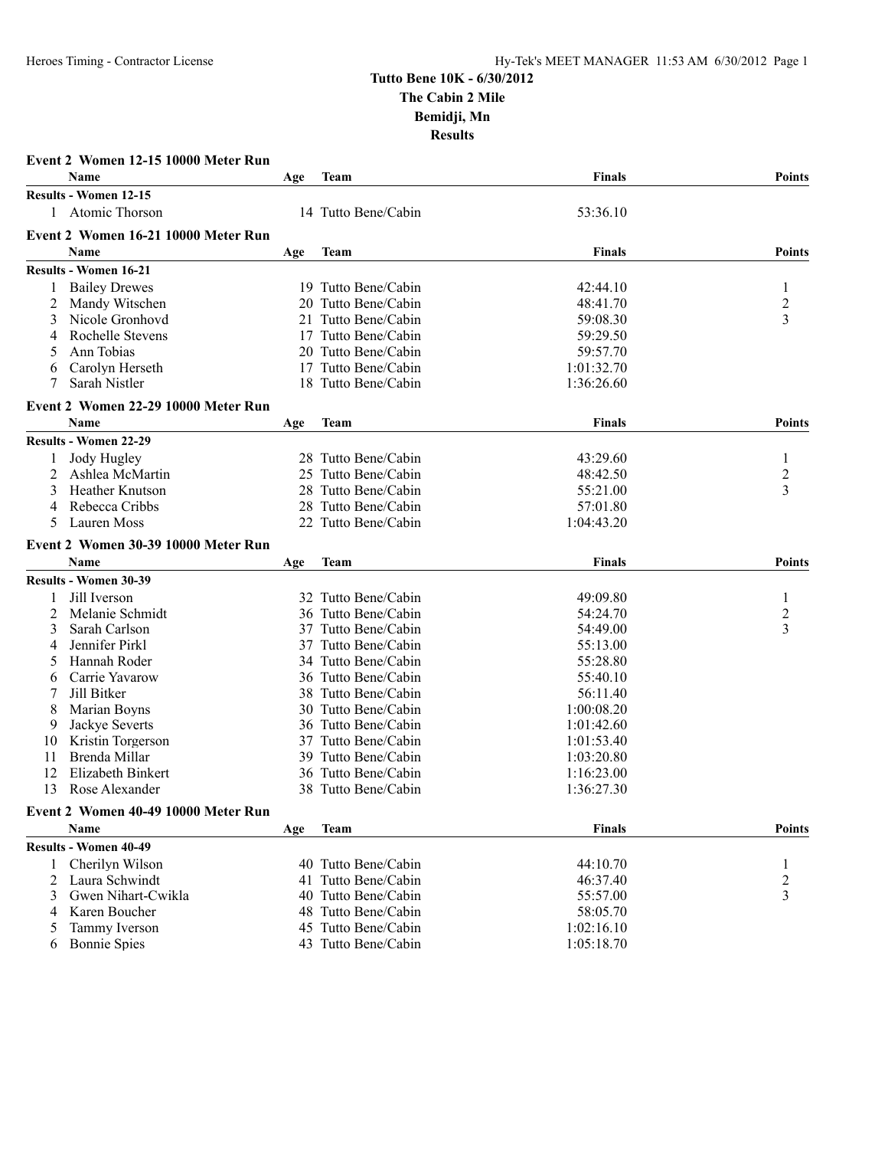| <b>Event 2 Women 12-15 10000 Meter Run</b> |                                     |     |                     |               |                     |  |  |  |
|--------------------------------------------|-------------------------------------|-----|---------------------|---------------|---------------------|--|--|--|
|                                            | <b>Name</b>                         | Age | Team                | Finals        | <b>Points</b>       |  |  |  |
|                                            | <b>Results - Women 12-15</b>        |     |                     |               |                     |  |  |  |
|                                            | 1 Atomic Thorson                    |     | 14 Tutto Bene/Cabin | 53:36.10      |                     |  |  |  |
|                                            | Event 2 Women 16-21 10000 Meter Run |     |                     |               |                     |  |  |  |
|                                            | <b>Name</b>                         | Age | <b>Team</b>         | <b>Finals</b> | <b>Points</b>       |  |  |  |
|                                            | <b>Results - Women 16-21</b>        |     |                     |               |                     |  |  |  |
|                                            | <b>Bailey Drewes</b>                |     | 19 Tutto Bene/Cabin | 42:44.10      |                     |  |  |  |
|                                            |                                     |     | 20 Tutto Bene/Cabin |               |                     |  |  |  |
| 2                                          | Mandy Witschen<br>Nicole Gronhovd   | 21  |                     | 48:41.70      | $\overline{c}$<br>3 |  |  |  |
| 3                                          |                                     |     | Tutto Bene/Cabin    | 59:08.30      |                     |  |  |  |
| 4                                          | Rochelle Stevens                    | 17  | Tutto Bene/Cabin    | 59:29.50      |                     |  |  |  |
| 5                                          | Ann Tobias                          |     | 20 Tutto Bene/Cabin | 59:57.70      |                     |  |  |  |
| 6                                          | Carolyn Herseth                     |     | 17 Tutto Bene/Cabin | 1:01:32.70    |                     |  |  |  |
|                                            | Sarah Nistler                       |     | 18 Tutto Bene/Cabin | 1:36:26.60    |                     |  |  |  |
|                                            | Event 2 Women 22-29 10000 Meter Run |     |                     |               |                     |  |  |  |
|                                            | <b>Name</b>                         | Age | <b>Team</b>         | <b>Finals</b> | <b>Points</b>       |  |  |  |
|                                            | <b>Results - Women 22-29</b>        |     |                     |               |                     |  |  |  |
|                                            | Jody Hugley                         |     | 28 Tutto Bene/Cabin | 43:29.60      | 1                   |  |  |  |
| 2                                          | Ashlea McMartin                     |     | 25 Tutto Bene/Cabin | 48:42.50      | $\overline{c}$      |  |  |  |
| 3                                          | <b>Heather Knutson</b>              | 28  | Tutto Bene/Cabin    | 55:21.00      | 3                   |  |  |  |
| 4                                          | Rebecca Cribbs                      |     | 28 Tutto Bene/Cabin | 57:01.80      |                     |  |  |  |
| 5                                          | Lauren Moss                         |     | 22 Tutto Bene/Cabin | 1:04:43.20    |                     |  |  |  |
|                                            | Event 2 Women 30-39 10000 Meter Run |     |                     |               |                     |  |  |  |
|                                            | <b>Name</b>                         |     |                     | <b>Finals</b> | <b>Points</b>       |  |  |  |
|                                            |                                     | Age | Team                |               |                     |  |  |  |
|                                            | Results - Women 30-39               |     |                     |               |                     |  |  |  |
| 1                                          | Jill Iverson                        |     | 32 Tutto Bene/Cabin | 49:09.80      | 1                   |  |  |  |
| 2                                          | Melanie Schmidt                     |     | 36 Tutto Bene/Cabin | 54:24.70      | $\overline{c}$      |  |  |  |
| 3                                          | Sarah Carlson                       |     | 37 Tutto Bene/Cabin | 54:49.00      | 3                   |  |  |  |
| 4                                          | Jennifer Pirkl                      |     | 37 Tutto Bene/Cabin | 55:13.00      |                     |  |  |  |
| 5                                          | Hannah Roder                        |     | 34 Tutto Bene/Cabin | 55:28.80      |                     |  |  |  |
| 6                                          | Carrie Yavarow                      |     | 36 Tutto Bene/Cabin | 55:40.10      |                     |  |  |  |
|                                            | Jill Bitker                         | 38  | Tutto Bene/Cabin    | 56:11.40      |                     |  |  |  |
| 8                                          | Marian Boyns                        |     | 30 Tutto Bene/Cabin | 1:00:08.20    |                     |  |  |  |
| 9                                          | Jackye Severts                      |     | 36 Tutto Bene/Cabin | 1:01:42.60    |                     |  |  |  |
| 10                                         | Kristin Torgerson                   |     | 37 Tutto Bene/Cabin | 1:01:53.40    |                     |  |  |  |
| 11                                         | Brenda Millar                       | 39. | Tutto Bene/Cabin    | 1:03:20.80    |                     |  |  |  |
| 12                                         | Elizabeth Binkert                   | 36  | Tutto Bene/Cabin    | 1:16:23.00    |                     |  |  |  |
| 13                                         | Rose Alexander                      |     | 38 Tutto Bene/Cabin | 1:36:27.30    |                     |  |  |  |
|                                            | Event 2 Women 40-49 10000 Meter Run |     |                     |               |                     |  |  |  |
|                                            | Name                                | Age | <b>Team</b>         | <b>Finals</b> | <b>Points</b>       |  |  |  |
|                                            | <b>Results - Women 40-49</b>        |     |                     |               |                     |  |  |  |
| 1                                          | Cherilyn Wilson                     |     | 40 Tutto Bene/Cabin | 44:10.70      | 1                   |  |  |  |
| 2                                          | Laura Schwindt                      |     | 41 Tutto Bene/Cabin | 46:37.40      | 2                   |  |  |  |
| 3                                          | Gwen Nihart-Cwikla                  |     | 40 Tutto Bene/Cabin | 55:57.00      | 3                   |  |  |  |
| 4                                          | Karen Boucher                       |     | 48 Tutto Bene/Cabin | 58:05.70      |                     |  |  |  |
| $\mathcal{L}$                              | Tammy Iverson                       |     | 45 Tutto Bene/Cabin | 1:02:16.10    |                     |  |  |  |
|                                            | <b>Bonnie Spies</b>                 |     | 43 Tutto Bene/Cabin | 1:05:18.70    |                     |  |  |  |
| 6                                          |                                     |     |                     |               |                     |  |  |  |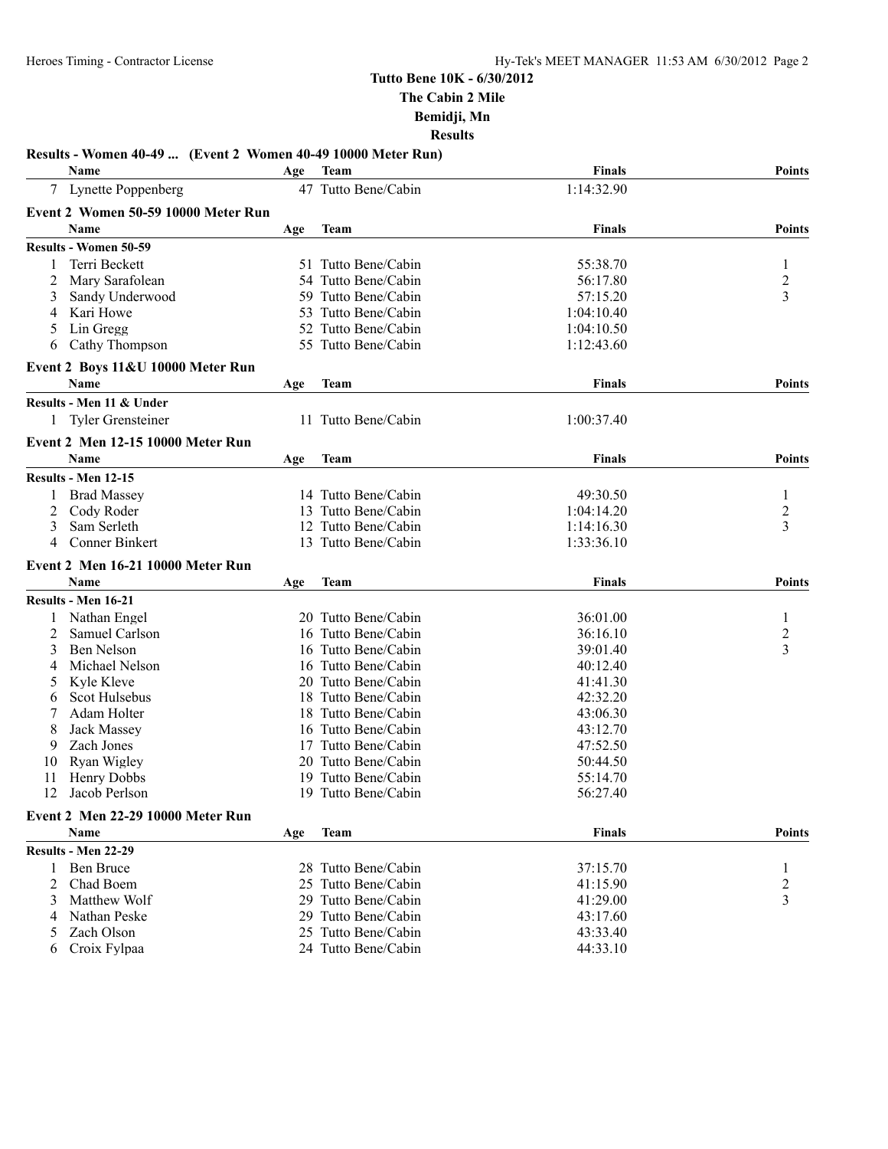#### **Results - Women 40-49 ... (Event 2 Women 40-49 10000 Meter Run) Name Age Team Finals Points** 7 Lynette Poppenberg 47 Tutto Bene/Cabin 1:14:32.90 **Event 2 Women 50-59 10000 Meter Run Name Age Team Finals Points Results - Women 50-59** 1 Terri Beckett 51 Tutto Bene/Cabin 55:38.70 1 Mary Sarafolean 54 Tutto Bene/Cabin 56:17.80 2<br>
Sandy Underwood 59 Tutto Bene/Cabin 57:15.20 3 3 Sandy Underwood 59 Tutto Bene/Cabin 57:15.20 3 4 Kari Howe 53 Tutto Bene/Cabin 1:04:10.40<br>5 Lin Gregg 52 Tutto Bene/Cabin 1:04:10.50 5 Lin Gregg 52 Tutto Bene/Cabin 1:04:10.50 6 Cathy Thompson 55 Tutto Bene/Cabin 1:12:43.60 **Event 2 Boys 11&U 10000 Meter Run Name Age Team Finals Points Results - Men 11 & Under** 1 Tyler Grensteiner 11 Tutto Bene/Cabin 1:00:37.40 **Event 2 Men 12-15 10000 Meter Run Name Age Team Finals Points Results - Men 12-15** 1 Brad Massey 14 Tutto Bene/Cabin 1 49:30.50 1 2 Cody Roder 13 Tutto Bene/Cabin 1:04:14.20 2<br>3 Sam Serleth 12 Tutto Bene/Cabin 1:14:16.30 2 3 Sam Serleth 12 Tutto Bene/Cabin 1:14:16.30 4 Conner Binkert 13 Tutto Bene/Cabin 1:33:36.10 **Event 2 Men 16-21 10000 Meter Run Name Age Team Finals Points Results - Men 16-21** 1 Nathan Engel 20 Tutto Bene/Cabin 36:01.00 1 2 Samuel Carlson 16 Tutto Bene/Cabin 36:16.10 2<br>3 Ben Nelson 16 Tutto Bene/Cabin 39:01.40 3 3 Ben Nelson 16 Tutto Bene/Cabin 39:01.40 4 Michael Nelson 16 Tutto Bene/Cabin 40:12.40 5 Kyle Kleve 20 Tutto Bene/Cabin 41:41.30 6 Scot Hulsebus 18 Tutto Bene/Cabin 42:32.20 7 Adam Holter 18 Tutto Bene/Cabin 43:06.30 8 Jack Massey 16 Tutto Bene/Cabin 43:12.70 9 Zach Jones 17 Tutto Bene/Cabin 47:52.50 10 Ryan Wigley 20 Tutto Bene/Cabin 50:44.50 11 Henry Dobbs 19 Tutto Bene/Cabin 55:14.70 12 Jacob Perlson 19 Tutto Bene/Cabin 56:27.40 **Event 2 Men 22-29 10000 Meter Run Name Age Team Finals Points Results - Men 22-29** 1 Ben Bruce 28 Tutto Bene/Cabin 37:15.70 1 2 Chad Boem 25 Tutto Bene/Cabin 41:15.90 2 3 Matthew Wolf 29 Tutto Bene/Cabin 41:29.00 3 4 Nathan Peske 29 Tutto Bene/Cabin 43:17.60<br>5 Zach Olson 25 Tutto Bene/Cabin 43:33.40 5 Zach Olson 25 Tutto Bene/Cabin 6 Croix Fylpaa 24 Tutto Bene/Cabin 44:33.10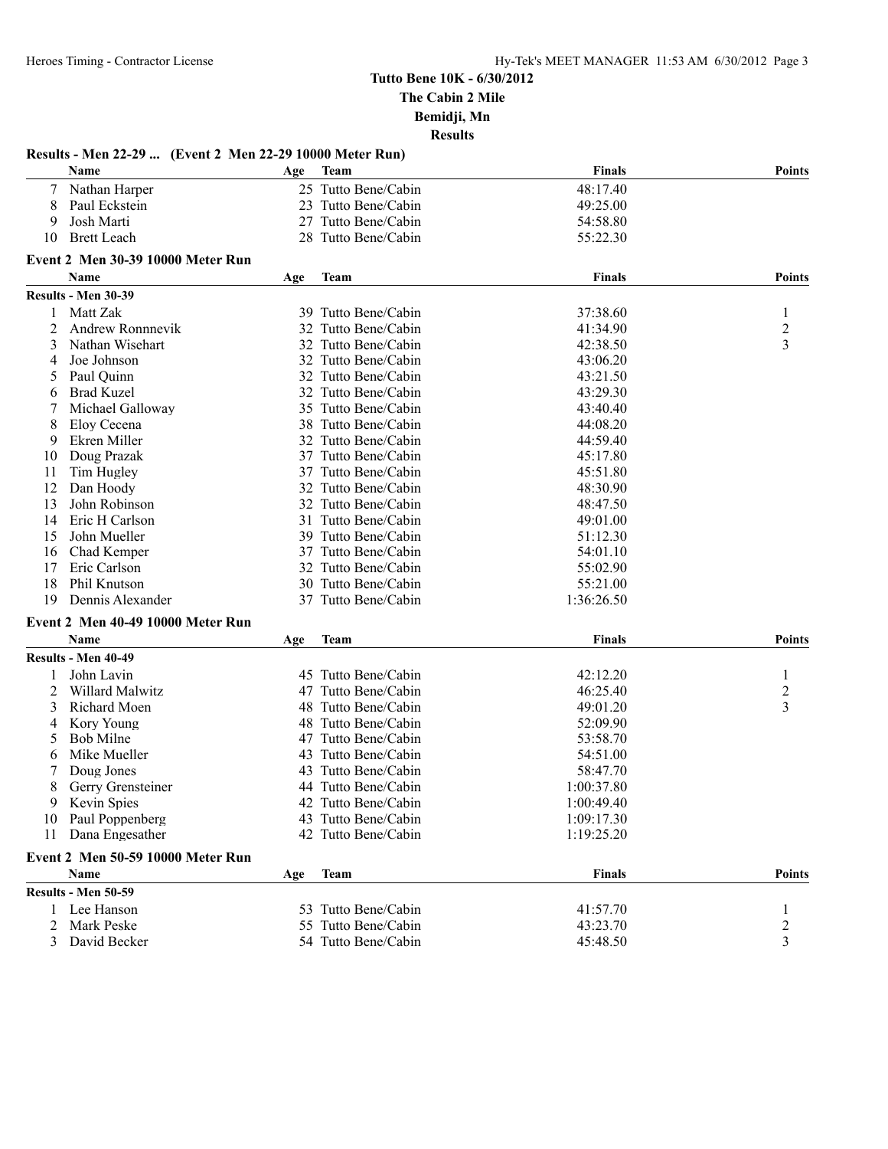#### **Results - Men 22-29 ... (Event 2 Men 22-29 10000 Meter Run) Name Age Team Finals Points** 7 Nathan Harper 25 Tutto Bene/Cabin 48:17.40<br>
23 Tutto Bene/Cabin 49:25.00<br>
23 Tutto Bene/Cabin 49:25.00 8 Paul Eckstein 23 Tutto Bene/Cabin 49:25.00 9 Josh Marti 27 Tutto Bene/Cabin 54:58.80 10 Brett Leach 28 Tutto Bene/Cabin 55:22.30 **Event 2 Men 30-39 10000 Meter Run Name Age Team Finals Points Results - Men 30-39** 1 Matt Zak 39 Tutto Bene/Cabin 37:38.60 1<br>2 Andrew Ronnnevik 32 Tutto Bene/Cabin 41:34.90 2 2 Andrew Ronnnevik 32 Tutto Bene/Cabin 41:34.90 2<br>3 Nathan Wisehart 32 Tutto Bene/Cabin 42:38.50 3 3 Nathan Wisehart 32 Tutto Bene/Cabin 42:38.50 3 4 Joe Johnson 32 Tutto Bene/Cabin 43:06.20<br>5 Paul Ouinn 32 Tutto Bene/Cabin 43:21.50 5 Paul Quinn 32 Tutto Bene/Cabin 43:21.50<br>6 Brad Kuzel 32 Tutto Bene/Cabin 43:29.30 6 Brad Kuzel 32 Tutto Bene/Cabin 43:29.30 7 Michael Galloway 35 Tutto Bene/Cabin 43:40.40 8 Eloy Cecena 38 Tutto Bene/Cabin 44:08.20 9 Ekren Miller 32 Tutto Bene/Cabin 44:59.40 10 Doug Prazak 37 Tutto Bene/Cabin 45:17.80 11 Tim Hugley 27 Tutto Bene/Cabin 45:51.80<br>12 Dan Hoody 32 Tutto Bene/Cabin 48:30.90 12 Dan Hoody 32 Tutto Bene/Cabin 13 John Robinson 32 Tutto Bene/Cabin 48:47.50<br>14 Eric H Carlson 31 Tutto Bene/Cabin 49:01.00 14 Eric H Carlson 31 Tutto Bene/Cabin 49:01.00 15 John Mueller 39 Tutto Bene/Cabin 51:12.30 16 Chad Kemper 37 Tutto Bene/Cabin 54:01.10<br>17 Eric Carlson 32 Tutto Bene/Cabin 55:02.90 17 Eric Carlson 32 Tutto Bene/Cabin 55:02.90<br>18 Phil Knutson 30 Tutto Bene/Cabin 55:21.00 18 Phil Knutson 30 Tutto Bene/Cabin 55:21.00 19 Dennis Alexander 37 Tutto Bene/Cabin 1:36:26.50 **Event 2 Men 40-49 10000 Meter Run Name Age Team Finals Points Results - Men 40-49** 1 John Lavin 45 Tutto Bene/Cabin 42:12.20 1 2 Willard Malwitz 47 Tutto Bene/Cabin 46:25.40 2 3 Richard Moen 48 Tutto Bene/Cabin 49:01.20 3 4 Kory Young 48 Tutto Bene/Cabin 52:09.90 5 Bob Milne 47 Tutto Bene/Cabin 53:58.70 6 Mike Mueller 43 Tutto Bene/Cabin 54:51.00 7 Doug Jones 43 Tutto Bene/Cabin 58:47.70 8 Gerry Grensteiner 44 Tutto Bene/Cabin 1:00:37.80 9 Kevin Spies 42 Tutto Bene/Cabin 1:00:49.40 10 Paul Poppenberg 1:09:17.30<br>
11 Dana Engesather 1:09:17.30<br>
11 Dana Engesather 1:19:25 20 11 Dana Engesather 42 Tutto Bene/Cabin 1:19:25.20 **Event 2 Men 50-59 10000 Meter Run Name Age Team Finals Points Results - Men 50-59** 1 Lee Hanson 53 Tutto Bene/Cabin 41:57.70 1<br>2 Mark Peske 55 Tutto Bene/Cabin 43:23.70 2 55 Tutto Bene/Cabin 43:23.70 3 David Becker 54 Tutto Bene/Cabin 45:48.50 3